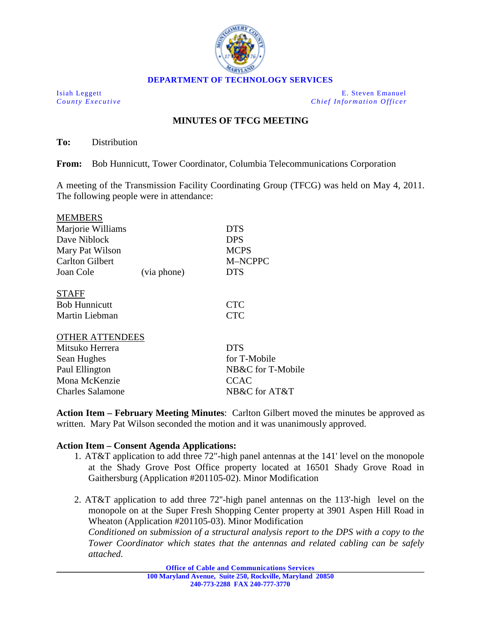

Isiah Leggett E. Steven Emanuel *County Executive Chief Information Officer*

## **MINUTES OF TFCG MEETING**

**To:** Distribution

**From:** Bob Hunnicutt, Tower Coordinator, Columbia Telecommunications Corporation

A meeting of the Transmission Facility Coordinating Group (TFCG) was held on May 4, 2011. The following people were in attendance:

| <b>MEMBERS</b>         |             |                   |
|------------------------|-------------|-------------------|
| Marjorie Williams      |             | DTS               |
| Dave Niblock           |             | <b>DPS</b>        |
| Mary Pat Wilson        |             | <b>MCPS</b>       |
| <b>Carlton Gilbert</b> |             | M-NCPPC           |
| Joan Cole              | (via phone) | <b>DTS</b>        |
| <b>STAFF</b>           |             |                   |
| <b>Bob Hunnicutt</b>   |             | <b>CTC</b>        |
| Martin Liebman         |             | <b>CTC</b>        |
| <b>OTHER ATTENDEES</b> |             |                   |
| Mitsuko Herrera        |             | <b>DTS</b>        |
| Sean Hughes            |             | for T-Mobile      |
| Paul Ellington         |             | NB&C for T-Mobile |
| Mona McKenzie          |             | <b>CCAC</b>       |
|                        |             |                   |

Charles Salamone NB&C for AT&T

**Action Item – February Meeting Minutes**: Carlton Gilbert moved the minutes be approved as written. Mary Pat Wilson seconded the motion and it was unanimously approved.

## **Action Item – Consent Agenda Applications:**

- 1. AT&T application to add three 72"-high panel antennas at the 141' level on the monopole at the Shady Grove Post Office property located at 16501 Shady Grove Road in Gaithersburg (Application #201105-02). Minor Modification
- 2. AT&T application to add three 72''-high panel antennas on the 113'-high level on the monopole on at the Super Fresh Shopping Center property at 3901 Aspen Hill Road in Wheaton (Application #201105-03). Minor Modification

*Conditioned on submission of a structural analysis report to the DPS with a copy to the Tower Coordinator which states that the antennas and related cabling can be safely attached.*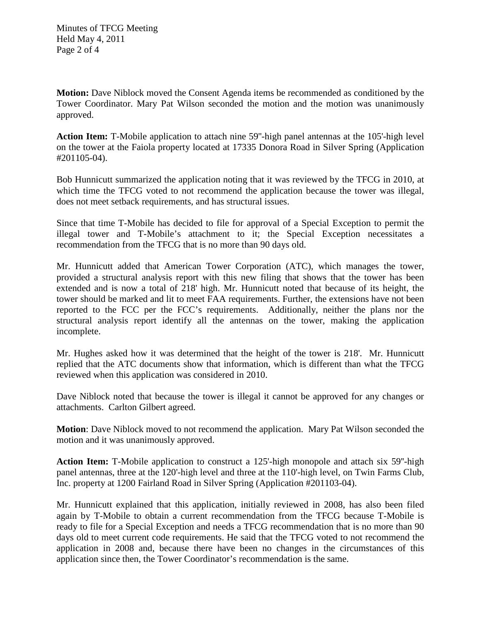**Motion:** Dave Niblock moved the Consent Agenda items be recommended as conditioned by the Tower Coordinator. Mary Pat Wilson seconded the motion and the motion was unanimously approved.

**Action Item:** T-Mobile application to attach nine 59''-high panel antennas at the 105'-high level on the tower at the Faiola property located at 17335 Donora Road in Silver Spring (Application #201105-04).

Bob Hunnicutt summarized the application noting that it was reviewed by the TFCG in 2010, at which time the TFCG voted to not recommend the application because the tower was illegal, does not meet setback requirements, and has structural issues.

Since that time T-Mobile has decided to file for approval of a Special Exception to permit the illegal tower and T-Mobile's attachment to it; the Special Exception necessitates a recommendation from the TFCG that is no more than 90 days old.

Mr. Hunnicutt added that American Tower Corporation (ATC), which manages the tower, provided a structural analysis report with this new filing that shows that the tower has been extended and is now a total of 218' high. Mr. Hunnicutt noted that because of its height, the tower should be marked and lit to meet FAA requirements. Further, the extensions have not been reported to the FCC per the FCC's requirements. Additionally, neither the plans nor the structural analysis report identify all the antennas on the tower, making the application incomplete.

Mr. Hughes asked how it was determined that the height of the tower is 218'. Mr. Hunnicutt replied that the ATC documents show that information, which is different than what the TFCG reviewed when this application was considered in 2010.

Dave Niblock noted that because the tower is illegal it cannot be approved for any changes or attachments. Carlton Gilbert agreed.

**Motion**: Dave Niblock moved to not recommend the application. Mary Pat Wilson seconded the motion and it was unanimously approved.

**Action Item:** T-Mobile application to construct a 125'-high monopole and attach six 59''-high panel antennas, three at the 120'-high level and three at the 110'-high level, on Twin Farms Club, Inc. property at 1200 Fairland Road in Silver Spring (Application #201103-04).

Mr. Hunnicutt explained that this application, initially reviewed in 2008, has also been filed again by T-Mobile to obtain a current recommendation from the TFCG because T-Mobile is ready to file for a Special Exception and needs a TFCG recommendation that is no more than 90 days old to meet current code requirements. He said that the TFCG voted to not recommend the application in 2008 and, because there have been no changes in the circumstances of this application since then, the Tower Coordinator's recommendation is the same.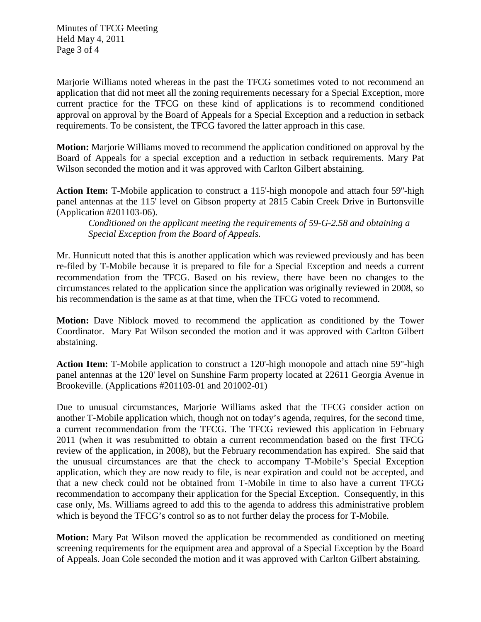Minutes of TFCG Meeting Held May 4, 2011 Page 3 of 4

Marjorie Williams noted whereas in the past the TFCG sometimes voted to not recommend an application that did not meet all the zoning requirements necessary for a Special Exception, more current practice for the TFCG on these kind of applications is to recommend conditioned approval on approval by the Board of Appeals for a Special Exception and a reduction in setback requirements. To be consistent, the TFCG favored the latter approach in this case.

**Motion:** Marjorie Williams moved to recommend the application conditioned on approval by the Board of Appeals for a special exception and a reduction in setback requirements. Mary Pat Wilson seconded the motion and it was approved with Carlton Gilbert abstaining.

**Action Item:** T-Mobile application to construct a 115'-high monopole and attach four 59''-high panel antennas at the 115' level on Gibson property at 2815 Cabin Creek Drive in Burtonsville (Application #201103-06).

*Conditioned on the applicant meeting the requirements of 59-G-2.58 and obtaining a Special Exception from the Board of Appeals.*

Mr. Hunnicutt noted that this is another application which was reviewed previously and has been re-filed by T-Mobile because it is prepared to file for a Special Exception and needs a current recommendation from the TFCG. Based on his review, there have been no changes to the circumstances related to the application since the application was originally reviewed in 2008, so his recommendation is the same as at that time, when the TFCG voted to recommend.

**Motion:** Dave Niblock moved to recommend the application as conditioned by the Tower Coordinator. Mary Pat Wilson seconded the motion and it was approved with Carlton Gilbert abstaining.

**Action Item:** T-Mobile application to construct a 120'-high monopole and attach nine 59"-high panel antennas at the 120' level on Sunshine Farm property located at 22611 Georgia Avenue in Brookeville. (Applications #201103-01 and 201002-01)

Due to unusual circumstances, Marjorie Williams asked that the TFCG consider action on another T-Mobile application which, though not on today's agenda, requires, for the second time, a current recommendation from the TFCG. The TFCG reviewed this application in February 2011 (when it was resubmitted to obtain a current recommendation based on the first TFCG review of the application, in 2008), but the February recommendation has expired. She said that the unusual circumstances are that the check to accompany T-Mobile's Special Exception application, which they are now ready to file, is near expiration and could not be accepted, and that a new check could not be obtained from T-Mobile in time to also have a current TFCG recommendation to accompany their application for the Special Exception. Consequently, in this case only, Ms. Williams agreed to add this to the agenda to address this administrative problem which is beyond the TFCG's control so as to not further delay the process for T-Mobile.

**Motion:** Mary Pat Wilson moved the application be recommended as conditioned on meeting screening requirements for the equipment area and approval of a Special Exception by the Board of Appeals. Joan Cole seconded the motion and it was approved with Carlton Gilbert abstaining.